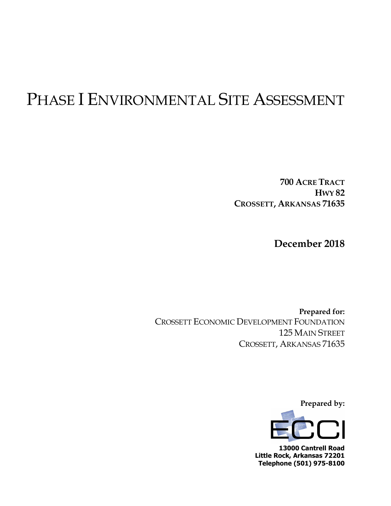# PHASE I ENVIRONMENTAL SITE ASSESSMENT

**700 ACRE TRACT HWY 82 CROSSETT, ARKANSAS 71635**

**December 2018**

**Prepared for:** CROSSETT ECONOMIC DEVELOPMENT FOUNDATION 125 MAIN STREET CROSSETT, ARKANSAS 71635

**Prepared by:**



**13000 Cantrell Road Little Rock, Arkansas 72201 Telephone (501) 975-8100**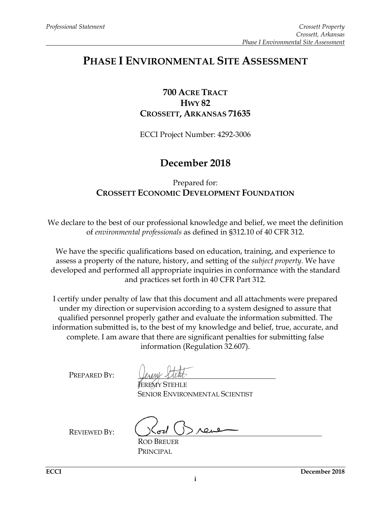# **PHASE I ENVIRONMENTAL SITE ASSESSMENT**

# **700 ACRE TRACT HWY 82 CROSSETT, ARKANSAS 71635**

ECCI Project Number: 4292-3006

# **December 2018**

# Prepared for: **CROSSETT ECONOMIC DEVELOPMENT FOUNDATION**

We declare to the best of our professional knowledge and belief, we meet the definition of *environmental professionals* as defined in §312.10 of 40 CFR 312.

We have the specific qualifications based on education, training, and experience to assess a property of the nature, history, and setting of the *subject property.* We have developed and performed all appropriate inquiries in conformance with the standard and practices set forth in 40 CFR Part 312.

I certify under penalty of law that this document and all attachments were prepared under my direction or supervision according to a system designed to assure that qualified personnel properly gather and evaluate the information submitted. The information submitted is, to the best of my knowledge and belief, true, accurate, and complete. I am aware that there are significant penalties for submitting false information (Regulation 32.607).

PREPARED BY:

JEREMY STEHLE SENIOR ENVIRONMENTAL SCIENTIST

REVIEWED BY:

ROD BREUER PRINCIPAL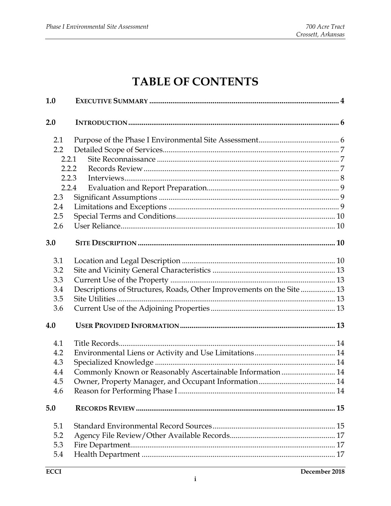# **TABLE OF CONTENTS**

| 1.0                                                                        |                                                                       |  |
|----------------------------------------------------------------------------|-----------------------------------------------------------------------|--|
| 2.0                                                                        |                                                                       |  |
| 2.1<br>2.2<br>2.2.1<br>2.2.2<br>2.2.3<br>2.2.4<br>2.3<br>2.4<br>2.5<br>2.6 |                                                                       |  |
| 3.0                                                                        |                                                                       |  |
| 3.1<br>3.2<br>3.3<br>3.4<br>3.5<br>3.6                                     | Descriptions of Structures, Roads, Other Improvements on the Site  13 |  |
| 4.0                                                                        |                                                                       |  |
| 4.1<br>4.2<br>4.3<br>4.4<br>4.5<br>4.6                                     | Commonly Known or Reasonably Ascertainable Information  14            |  |
| 5.0                                                                        |                                                                       |  |
| 5.1<br>5.2<br>5.3<br>5.4                                                   |                                                                       |  |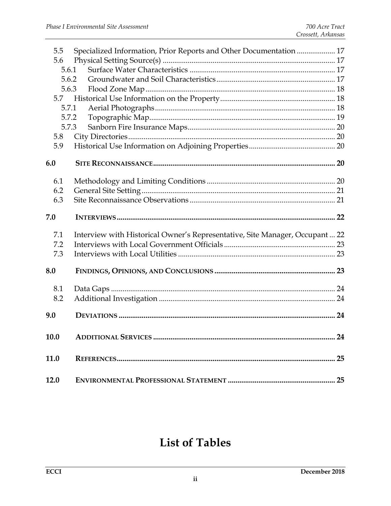| 5.5   | Specialized Information, Prior Reports and Other Documentation  17          |  |
|-------|-----------------------------------------------------------------------------|--|
| 5.6   |                                                                             |  |
| 5.6.1 |                                                                             |  |
| 5.6.2 |                                                                             |  |
| 5.6.3 |                                                                             |  |
| 5.7   |                                                                             |  |
| 5.7.1 |                                                                             |  |
| 5.7.2 |                                                                             |  |
| 5.7.3 |                                                                             |  |
| 5.8   |                                                                             |  |
| 5.9   |                                                                             |  |
| 6.0   |                                                                             |  |
| 6.1   |                                                                             |  |
| 6.2   |                                                                             |  |
| 6.3   |                                                                             |  |
|       |                                                                             |  |
| 7.0   |                                                                             |  |
| 7.1   | Interview with Historical Owner's Representative, Site Manager, Occupant 22 |  |
| 7.2   |                                                                             |  |
| 7.3   |                                                                             |  |
| 8.0   |                                                                             |  |
| 8.1   |                                                                             |  |
| 8.2   |                                                                             |  |
|       |                                                                             |  |
| 9.0   |                                                                             |  |
| 10.0  |                                                                             |  |
| 11.0  |                                                                             |  |
| 12.0  |                                                                             |  |

# **List of Tables**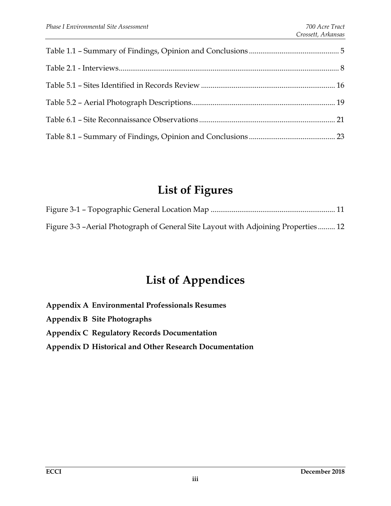# **List of Figures**

| Figure 3-3 - Aerial Photograph of General Site Layout with Adjoining Properties 12 |  |
|------------------------------------------------------------------------------------|--|

# **List of Appendices**

**Appendix A Environmental Professionals Resumes Appendix B Site Photographs Appendix C Regulatory Records Documentation Appendix D Historical and Other Research Documentation**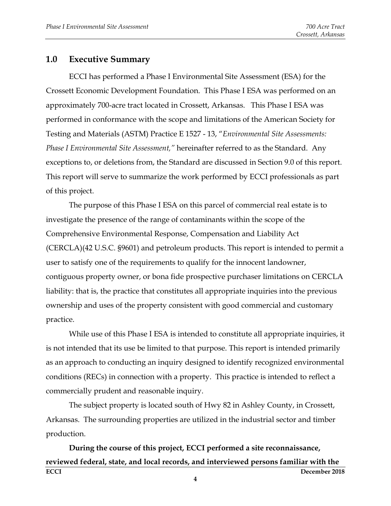#### <span id="page-5-0"></span>**1.0 Executive Summary**

ECCI has performed a Phase I Environmental Site Assessment (ESA) for the Crossett Economic Development Foundation. This Phase I ESA was performed on an approximately 700-acre tract located in Crossett, Arkansas. This Phase I ESA was performed in conformance with the scope and limitations of the American Society for Testing and Materials (ASTM) Practice E 1527 - 13, "*Environmental Site Assessments: Phase I Environmental Site Assessment,"* hereinafter referred to as the Standard. Any exceptions to, or deletions from, the Standard are discussed in Section 9.0 of this report. This report will serve to summarize the work performed by ECCI professionals as part of this project.

The purpose of this Phase I ESA on this parcel of commercial real estate is to investigate the presence of the range of contaminants within the scope of the Comprehensive Environmental Response, Compensation and Liability Act (CERCLA)(42 U.S.C. §9601) and petroleum products. This report is intended to permit a user to satisfy one of the requirements to qualify for the innocent landowner, contiguous property owner, or bona fide prospective purchaser limitations on CERCLA liability: that is, the practice that constitutes all appropriate inquiries into the previous ownership and uses of the property consistent with good commercial and customary practice.

While use of this Phase I ESA is intended to constitute all appropriate inquiries, it is not intended that its use be limited to that purpose. This report is intended primarily as an approach to conducting an inquiry designed to identify recognized environmental conditions (RECs) in connection with a property. This practice is intended to reflect a commercially prudent and reasonable inquiry.

The subject property is located south of Hwy 82 in Ashley County, in Crossett, Arkansas. The surrounding properties are utilized in the industrial sector and timber production.

**ECCI December 2018 During the course of this project, ECCI performed a site reconnaissance, reviewed federal, state, and local records, and interviewed persons familiar with the** 

**4**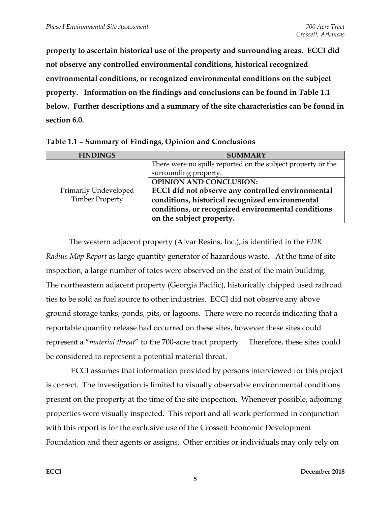**property to ascertain historical use of the property and surrounding areas. ECCI did not observe any controlled environmental conditions, historical recognized environmental conditions, or recognized environmental conditions on the subject property. Information on the findings and conclusions can be found in Table 1.1 below. Further descriptions and a summary of the site characteristics can be found in section 6.0.** 

| <b>FINDINGS</b>                                 | <b>SUMMARY</b>                                                                                                                                                                                                           |
|-------------------------------------------------|--------------------------------------------------------------------------------------------------------------------------------------------------------------------------------------------------------------------------|
|                                                 | There were no spills reported on the subject property or the<br>surrounding property.                                                                                                                                    |
| Primarily Undeveloped<br><b>Timber Property</b> | <b>OPINION AND CONCLUSION:</b><br>ECCI did not observe any controlled environmental<br>conditions, historical recognized environmental<br>conditions, or recognized environmental conditions<br>on the subject property. |

<span id="page-6-0"></span>**Table 1.1 – Summary of Findings, Opinion and Conclusions**

The western adjacent property (Alvar Resins, Inc.), is identified in the *EDR Radius Map Report* as large quantity generator of hazardous waste. At the time of site inspection, a large number of totes were observed on the east of the main building. The northeastern adjacent property (Georgia Pacific), historically chipped used railroad ties to be sold as fuel source to other industries. ECCI did not observe any above ground storage tanks, ponds, pits, or lagoons. There were no records indicating that a reportable quantity release had occurred on these sites, however these sites could represent a "*material threat*" to the 700-acre tract property. Therefore, these sites could be considered to represent a potential material threat.

ECCI assumes that information provided by persons interviewed for this project is correct. The investigation is limited to visually observable environmental conditions present on the property at the time of the site inspection. Whenever possible, adjoining properties were visually inspected. This report and all work performed in conjunction with this report is for the exclusive use of the Crossett Economic Development Foundation and their agents or assigns. Other entities or individuals may only rely on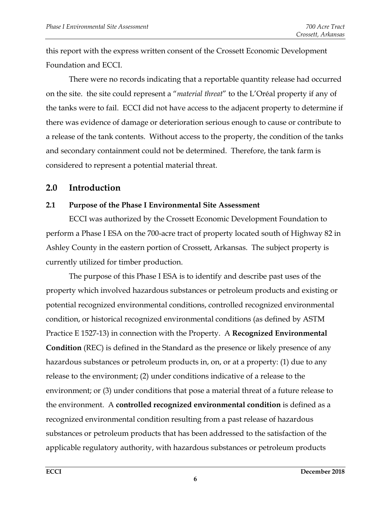this report with the express written consent of the Crossett Economic Development Foundation and ECCI.

There were no records indicating that a reportable quantity release had occurred on the site. the site could represent a "*material threat*" to the L'Oréal property if any of the tanks were to fail. ECCI did not have access to the adjacent property to determine if there was evidence of damage or deterioration serious enough to cause or contribute to a release of the tank contents. Without access to the property, the condition of the tanks and secondary containment could not be determined. Therefore, the tank farm is considered to represent a potential material threat.

# <span id="page-7-0"></span>**2.0 Introduction**

#### <span id="page-7-1"></span>**2.1 Purpose of the Phase I Environmental Site Assessment**

ECCI was authorized by the Crossett Economic Development Foundation to perform a Phase I ESA on the 700-acre tract of property located south of Highway 82 in Ashley County in the eastern portion of Crossett, Arkansas. The subject property is currently utilized for timber production.

The purpose of this Phase I ESA is to identify and describe past uses of the property which involved hazardous substances or petroleum products and existing or potential recognized environmental conditions, controlled recognized environmental condition, or historical recognized environmental conditions (as defined by ASTM Practice E 1527-13) in connection with the Property. A **Recognized Environmental Condition** (REC) is defined in the Standard as the presence or likely presence of any hazardous substances or petroleum products in, on, or at a property: (1) due to any release to the environment; (2) under conditions indicative of a release to the environment; or (3) under conditions that pose a material threat of a future release to the environment. A **controlled recognized environmental condition** is defined as a recognized environmental condition resulting from a past release of hazardous substances or petroleum products that has been addressed to the satisfaction of the applicable regulatory authority, with hazardous substances or petroleum products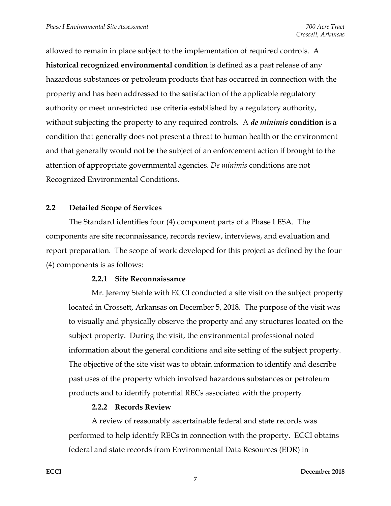allowed to remain in place subject to the implementation of required controls. A **historical recognized environmental condition** is defined as a past release of any hazardous substances or petroleum products that has occurred in connection with the property and has been addressed to the satisfaction of the applicable regulatory authority or meet unrestricted use criteria established by a regulatory authority, without subjecting the property to any required controls. A *de minimis* **condition** is a condition that generally does not present a threat to human health or the environment and that generally would not be the subject of an enforcement action if brought to the attention of appropriate governmental agencies. *De minimis* conditions are not Recognized Environmental Conditions.

#### <span id="page-8-0"></span>**2.2 Detailed Scope of Services**

The Standard identifies four (4) component parts of a Phase I ESA. The components are site reconnaissance, records review, interviews, and evaluation and report preparation. The scope of work developed for this project as defined by the four (4) components is as follows:

#### **2.2.1 Site Reconnaissance**

<span id="page-8-1"></span>Mr. Jeremy Stehle with ECCI conducted a site visit on the subject property located in Crossett, Arkansas on December 5, 2018. The purpose of the visit was to visually and physically observe the property and any structures located on the subject property. During the visit, the environmental professional noted information about the general conditions and site setting of the subject property. The objective of the site visit was to obtain information to identify and describe past uses of the property which involved hazardous substances or petroleum products and to identify potential RECs associated with the property.

#### **2.2.2 Records Review**

<span id="page-8-2"></span>A review of reasonably ascertainable federal and state records was performed to help identify RECs in connection with the property. ECCI obtains federal and state records from Environmental Data Resources (EDR) in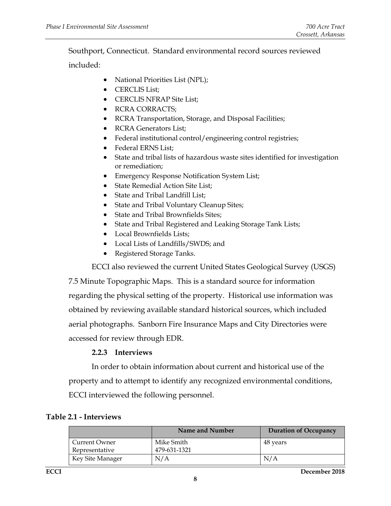Southport, Connecticut. Standard environmental record sources reviewed

included:

- National Priorities List (NPL);
- CERCLIS List;
- CERCLIS NFRAP Site List;
- RCRA CORRACTS;
- RCRA Transportation, Storage, and Disposal Facilities;
- RCRA Generators List;
- Federal institutional control/engineering control registries;
- Federal ERNS List;
- State and tribal lists of hazardous waste sites identified for investigation or remediation;
- Emergency Response Notification System List;
- State Remedial Action Site List;
- State and Tribal Landfill List;
- State and Tribal Voluntary Cleanup Sites;
- State and Tribal Brownfields Sites;
- State and Tribal Registered and Leaking Storage Tank Lists;
- Local Brownfields Lists;
- Local Lists of Landfills/SWDS; and
- Registered Storage Tanks.

ECCI also reviewed the current United States Geological Survey (USGS)

7.5 Minute Topographic Maps. This is a standard source for information regarding the physical setting of the property. Historical use information was obtained by reviewing available standard historical sources, which included aerial photographs. Sanborn Fire Insurance Maps and City Directories were accessed for review through EDR.

#### **2.2.3 Interviews**

<span id="page-9-0"></span>In order to obtain information about current and historical use of the property and to attempt to identify any recognized environmental conditions, ECCI interviewed the following personnel.

#### <span id="page-9-1"></span>**Table 2.1 - Interviews**

|                  | Name and Number | <b>Duration of Occupancy</b> |
|------------------|-----------------|------------------------------|
| Current Owner    | Mike Smith      | 48 years                     |
| Representative   | 479-631-1321    |                              |
| Key Site Manager | N/A             | N/A                          |

**ECCI December 2018**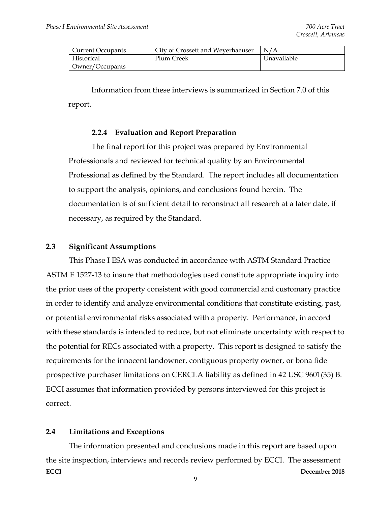| <b>Current Occupants</b> | City of Crossett and Weyerhaeuser | N/A         |
|--------------------------|-----------------------------------|-------------|
| Historical               | Plum Creek                        | Unavailable |
| Owner/Occupants          |                                   |             |

Information from these interviews is summarized in Section 7.0 of this report.

#### **2.2.4 Evaluation and Report Preparation**

<span id="page-10-0"></span>The final report for this project was prepared by Environmental Professionals and reviewed for technical quality by an Environmental Professional as defined by the Standard. The report includes all documentation to support the analysis, opinions, and conclusions found herein. The documentation is of sufficient detail to reconstruct all research at a later date, if necessary, as required by the Standard.

#### <span id="page-10-1"></span>**2.3 Significant Assumptions**

This Phase I ESA was conducted in accordance with ASTM Standard Practice ASTM E 1527-13 to insure that methodologies used constitute appropriate inquiry into the prior uses of the property consistent with good commercial and customary practice in order to identify and analyze environmental conditions that constitute existing, past, or potential environmental risks associated with a property. Performance, in accord with these standards is intended to reduce, but not eliminate uncertainty with respect to the potential for RECs associated with a property. This report is designed to satisfy the requirements for the innocent landowner, contiguous property owner, or bona fide prospective purchaser limitations on CERCLA liability as defined in 42 USC 9601(35) B. ECCI assumes that information provided by persons interviewed for this project is correct.

#### <span id="page-10-2"></span>**2.4 Limitations and Exceptions**

**ECCI December 2018** The information presented and conclusions made in this report are based upon the site inspection, interviews and records review performed by ECCI. The assessment

**9**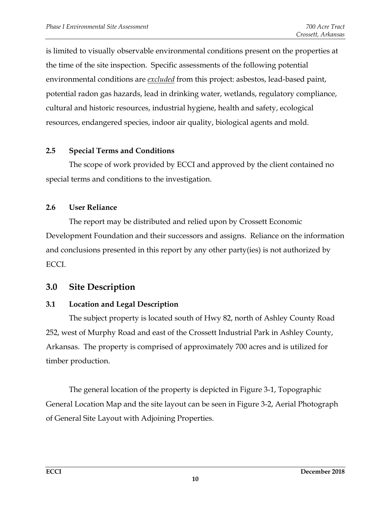is limited to visually observable environmental conditions present on the properties at the time of the site inspection. Specific assessments of the following potential environmental conditions are *excluded* from this project: asbestos, lead-based paint, potential radon gas hazards, lead in drinking water, wetlands, regulatory compliance, cultural and historic resources, industrial hygiene, health and safety, ecological resources, endangered species, indoor air quality, biological agents and mold.

# <span id="page-11-0"></span>**2.5 Special Terms and Conditions**

The scope of work provided by ECCI and approved by the client contained no special terms and conditions to the investigation.

#### <span id="page-11-1"></span>**2.6 User Reliance**

The report may be distributed and relied upon by Crossett Economic Development Foundation and their successors and assigns. Reliance on the information and conclusions presented in this report by any other party(ies) is not authorized by ECCI.

# <span id="page-11-2"></span>**3.0 Site Description**

# <span id="page-11-3"></span>**3.1 Location and Legal Description**

The subject property is located south of Hwy 82, north of Ashley County Road 252, west of Murphy Road and east of the Crossett Industrial Park in Ashley County, Arkansas. The property is comprised of approximately 700 acres and is utilized for timber production.

The general location of the property is depicted in Figure 3-1, Topographic General Location Map and the site layout can be seen in Figure 3-2, Aerial Photograph of General Site Layout with Adjoining Properties.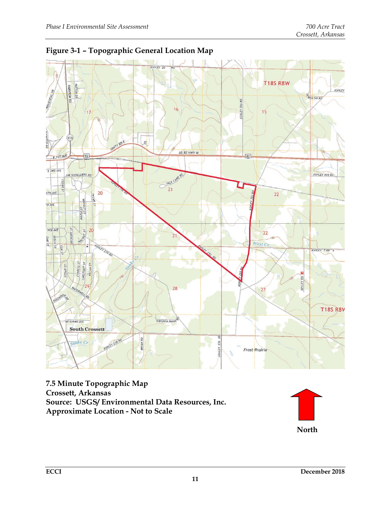

<span id="page-12-0"></span>

**7.5 Minute Topographic Map Crossett, Arkansas Source: USGS/ Environmental Data Resources, Inc. Approximate Location - Not to Scale**

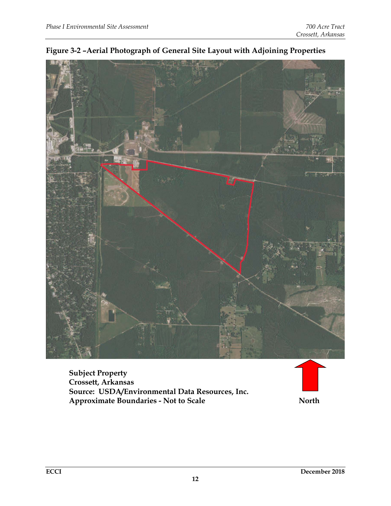

<span id="page-13-0"></span>

**Subject Property Crossett, Arkansas Source: USDA/Environmental Data Resources, Inc. Approximate Boundaries - Not to Scale North**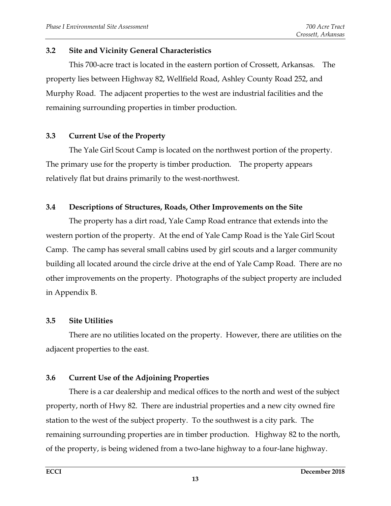#### <span id="page-14-0"></span>**3.2 Site and Vicinity General Characteristics**

This 700-acre tract is located in the eastern portion of Crossett, Arkansas. The property lies between Highway 82, Wellfield Road, Ashley County Road 252, and Murphy Road. The adjacent properties to the west are industrial facilities and the remaining surrounding properties in timber production.

#### <span id="page-14-1"></span>**3.3 Current Use of the Property**

The Yale Girl Scout Camp is located on the northwest portion of the property. The primary use for the property is timber production. The property appears relatively flat but drains primarily to the west-northwest.

#### <span id="page-14-2"></span>**3.4 Descriptions of Structures, Roads, Other Improvements on the Site**

The property has a dirt road, Yale Camp Road entrance that extends into the western portion of the property. At the end of Yale Camp Road is the Yale Girl Scout Camp. The camp has several small cabins used by girl scouts and a larger community building all located around the circle drive at the end of Yale Camp Road. There are no other improvements on the property. Photographs of the subject property are included in Appendix B.

#### <span id="page-14-3"></span>**3.5 Site Utilities**

There are no utilities located on the property. However, there are utilities on the adjacent properties to the east.

#### <span id="page-14-4"></span>**3.6 Current Use of the Adjoining Properties**

<span id="page-14-5"></span>There is a car dealership and medical offices to the north and west of the subject property, north of Hwy 82. There are industrial properties and a new city owned fire station to the west of the subject property. To the southwest is a city park. The remaining surrounding properties are in timber production. Highway 82 to the north, of the property, is being widened from a two-lane highway to a four-lane highway.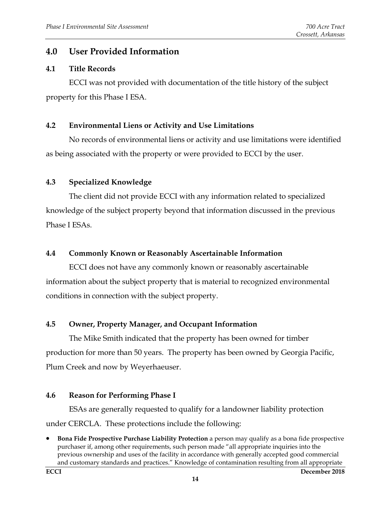# **4.0 User Provided Information**

#### <span id="page-15-0"></span>**4.1 Title Records**

ECCI was not provided with documentation of the title history of the subject property for this Phase I ESA.

#### <span id="page-15-1"></span>**4.2 Environmental Liens or Activity and Use Limitations**

No records of environmental liens or activity and use limitations were identified as being associated with the property or were provided to ECCI by the user.

#### <span id="page-15-2"></span>**4.3 Specialized Knowledge**

The client did not provide ECCI with any information related to specialized knowledge of the subject property beyond that information discussed in the previous Phase I ESAs.

#### <span id="page-15-3"></span>**4.4 Commonly Known or Reasonably Ascertainable Information**

ECCI does not have any commonly known or reasonably ascertainable information about the subject property that is material to recognized environmental conditions in connection with the subject property.

#### <span id="page-15-4"></span>**4.5 Owner, Property Manager, and Occupant Information**

The Mike Smith indicated that the property has been owned for timber production for more than 50 years. The property has been owned by Georgia Pacific, Plum Creek and now by Weyerhaeuser.

#### <span id="page-15-5"></span>**4.6 Reason for Performing Phase I**

ESAs are generally requested to qualify for a landowner liability protection under CERCLA. These protections include the following:

<sup>•</sup> **Bona Fide Prospective Purchase Liability Protection** a person may qualify as a bona fide prospective purchaser if, among other requirements, such person made "all appropriate inquiries into the previous ownership and uses of the facility in accordance with generally accepted good commercial and customary standards and practices." Knowledge of contamination resulting from all appropriate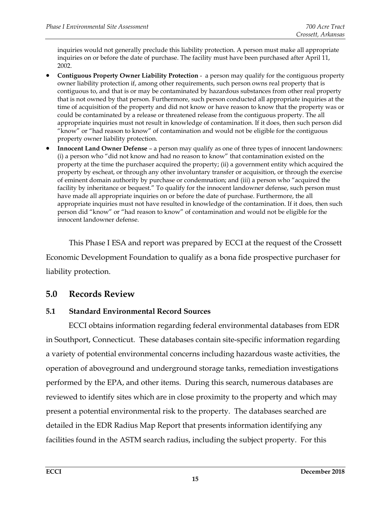inquiries would not generally preclude this liability protection. A person must make all appropriate inquiries on or before the date of purchase. The facility must have been purchased after April 11, 2002.

- **Contiguous Property Owner Liability Protection** a person may qualify for the contiguous property owner liability protection if, among other requirements, such person owns real property that is contiguous to, and that is or may be contaminated by hazardous substances from other real property that is not owned by that person. Furthermore, such person conducted all appropriate inquiries at the time of acquisition of the property and did not know or have reason to know that the property was or could be contaminated by a release or threatened release from the contiguous property. The all appropriate inquiries must not result in knowledge of contamination. If it does, then such person did "know" or "had reason to know" of contamination and would not be eligible for the contiguous property owner liability protection.
- **Innocent Land Owner Defense** a person may qualify as one of three types of innocent landowners: (i) a person who "did not know and had no reason to know" that contamination existed on the property at the time the purchaser acquired the property; (ii) a government entity which acquired the property by escheat, or through any other involuntary transfer or acquisition, or through the exercise of eminent domain authority by purchase or condemnation; and (iii) a person who "acquired the facility by inheritance or bequest." To qualify for the innocent landowner defense, such person must have made all appropriate inquiries on or before the date of purchase. Furthermore, the all appropriate inquiries must not have resulted in knowledge of the contamination. If it does, then such person did "know" or "had reason to know" of contamination and would not be eligible for the innocent landowner defense.

This Phase I ESA and report was prepared by ECCI at the request of the Crossett Economic Development Foundation to qualify as a bona fide prospective purchaser for liability protection.

# <span id="page-16-0"></span>**5.0 Records Review**

# <span id="page-16-1"></span>**5.1 Standard Environmental Record Sources**

ECCI obtains information regarding federal environmental databases from EDR in Southport, Connecticut. These databases contain site-specific information regarding a variety of potential environmental concerns including hazardous waste activities, the operation of aboveground and underground storage tanks, remediation investigations performed by the EPA, and other items. During this search, numerous databases are reviewed to identify sites which are in close proximity to the property and which may present a potential environmental risk to the property. The databases searched are detailed in the EDR Radius Map Report that presents information identifying any facilities found in the ASTM search radius, including the subject property. For this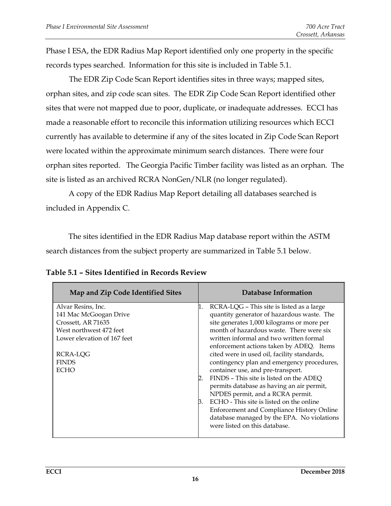Phase I ESA, the EDR Radius Map Report identified only one property in the specific records types searched. Information for this site is included in Table 5.1.

The EDR Zip Code Scan Report identifies sites in three ways; mapped sites, orphan sites, and zip code scan sites. The EDR Zip Code Scan Report identified other sites that were not mapped due to poor, duplicate, or inadequate addresses. ECCI has made a reasonable effort to reconcile this information utilizing resources which ECCI currently has available to determine if any of the sites located in Zip Code Scan Report were located within the approximate minimum search distances. There were four orphan sites reported. The Georgia Pacific Timber facility was listed as an orphan. The site is listed as an archived RCRA NonGen/NLR (no longer regulated).

A copy of the EDR Radius Map Report detailing all databases searched is included in Appendix C.

The sites identified in the EDR Radius Map database report within the ASTM search distances from the subject property are summarized in Table 5.1 below.

| Map and Zip Code Identified Sites | Database Information                             |
|-----------------------------------|--------------------------------------------------|
| Alvar Resins, Inc.                | RCRA-LQG - This site is listed as a large        |
| 141 Mac McGoogan Drive            | quantity generator of hazardous waste. The       |
| Crossett, AR 71635                | site generates 1,000 kilograms or more per       |
| West northwest 472 feet           | month of hazardous waste. There were six         |
| Lower elevation of 167 feet       | written informal and two written formal          |
|                                   | enforcement actions taken by ADEQ. Items         |
| RCRA-LQG                          | cited were in used oil, facility standards,      |
| <b>FINDS</b>                      | contingency plan and emergency procedures,       |
| <b>ECHO</b>                       | container use, and pre-transport.                |
|                                   | FINDS - This site is listed on the ADEQ          |
|                                   | permits database as having an air permit,        |
|                                   | NPDES permit, and a RCRA permit.                 |
|                                   | ECHO - This site is listed on the online<br>Β.   |
|                                   | <b>Enforcement and Compliance History Online</b> |
|                                   | database managed by the EPA. No violations       |
|                                   | were listed on this database.                    |
|                                   |                                                  |

<span id="page-17-0"></span>

| Table 5.1 - Sites Identified in Records Review |  |  |  |
|------------------------------------------------|--|--|--|
|------------------------------------------------|--|--|--|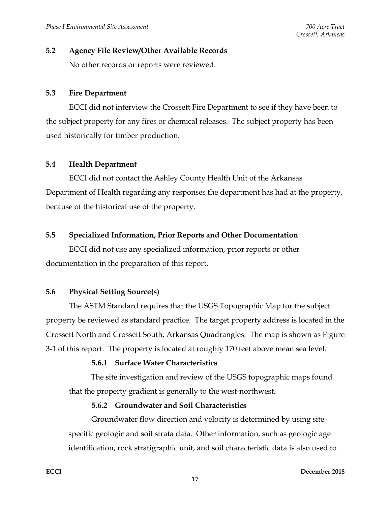#### <span id="page-18-0"></span>**5.2 Agency File Review/Other Available Records**

No other records or reports were reviewed.

#### <span id="page-18-1"></span>**5.3 Fire Department**

ECCI did not interview the Crossett Fire Department to see if they have been to the subject property for any fires or chemical releases. The subject property has been used historically for timber production.

#### <span id="page-18-2"></span>**5.4 Health Department**

ECCI did not contact the Ashley County Health Unit of the Arkansas Department of Health regarding any responses the department has had at the property, because of the historical use of the property.

#### <span id="page-18-3"></span>**5.5 Specialized Information, Prior Reports and Other Documentation**

ECCI did not use any specialized information, prior reports or other documentation in the preparation of this report.

#### <span id="page-18-4"></span>**5.6 Physical Setting Source(s)**

The ASTM Standard requires that the USGS Topographic Map for the subject property be reviewed as standard practice. The target property address is located in the Crossett North and Crossett South, Arkansas Quadrangles. The map is shown as Figure 3-1 of this report. The property is located at roughly 170 feet above mean sea level.

#### **5.6.1 Surface Water Characteristics**

<span id="page-18-5"></span>The site investigation and review of the USGS topographic maps found that the property gradient is generally to the west-northwest.

#### **5.6.2 Groundwater and Soil Characteristics**

<span id="page-18-6"></span>Groundwater flow direction and velocity is determined by using sitespecific geologic and soil strata data. Other information, such as geologic age identification, rock stratigraphic unit, and soil characteristic data is also used to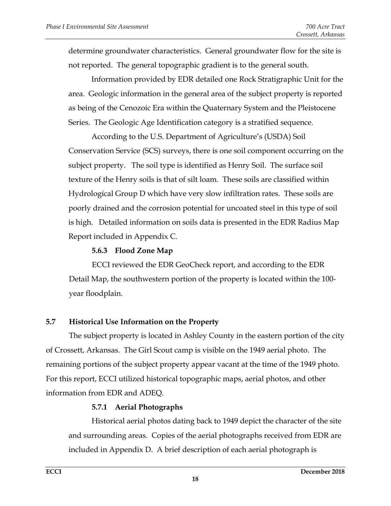determine groundwater characteristics. General groundwater flow for the site is not reported. The general topographic gradient is to the general south.

Information provided by EDR detailed one Rock Stratigraphic Unit for the area. Geologic information in the general area of the subject property is reported as being of the Cenozoic Era within the Quaternary System and the Pleistocene Series. The Geologic Age Identification category is a stratified sequence.

According to the U.S. Department of Agriculture's (USDA) Soil Conservation Service (SCS) surveys, there is one soil component occurring on the subject property. The soil type is identified as Henry Soil. The surface soil texture of the Henry soils is that of silt loam. These soils are classified within Hydrological Group D which have very slow infiltration rates. These soils are poorly drained and the corrosion potential for uncoated steel in this type of soil is high. Detailed information on soils data is presented in the EDR Radius Map Report included in Appendix C.

#### **5.6.3 Flood Zone Map**

<span id="page-19-0"></span>ECCI reviewed the EDR GeoCheck report, and according to the EDR Detail Map, the southwestern portion of the property is located within the 100 year floodplain.

#### <span id="page-19-1"></span>**5.7 Historical Use Information on the Property**

The subject property is located in Ashley County in the eastern portion of the city of Crossett, Arkansas. The Girl Scout camp is visible on the 1949 aerial photo. The remaining portions of the subject property appear vacant at the time of the 1949 photo. For this report, ECCI utilized historical topographic maps, aerial photos, and other information from EDR and ADEQ.

#### **5.7.1 Aerial Photographs**

<span id="page-19-2"></span>Historical aerial photos dating back to 1949 depict the character of the site and surrounding areas. Copies of the aerial photographs received from EDR are included in Appendix D. A brief description of each aerial photograph is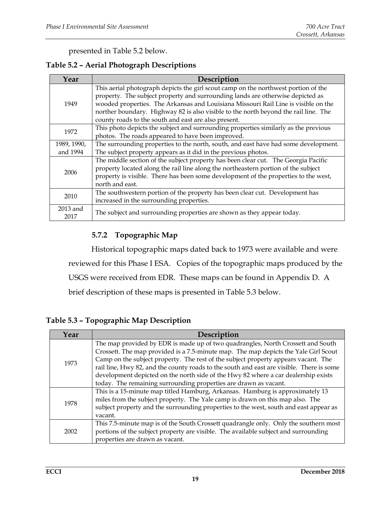<span id="page-20-1"></span>presented in Table 5.2 below.

#### **Table 5.2 – Aerial Photograph Descriptions**

| Year             | Description                                                                         |  |
|------------------|-------------------------------------------------------------------------------------|--|
|                  | This aerial photograph depicts the girl scout camp on the northwest portion of the  |  |
|                  | property. The subject property and surrounding lands are otherwise depicted as      |  |
| 1949             | wooded properties. The Arkansas and Louisiana Missouri Rail Line is visible on the  |  |
|                  | norther boundary. Highway 82 is also visible to the north beyond the rail line. The |  |
|                  | county roads to the south and east are also present.                                |  |
| 1972             | This photo depicts the subject and surrounding properties similarly as the previous |  |
|                  | photos. The roads appeared to have been improved.                                   |  |
| 1989, 1990,      | The surrounding properties to the north, south, and east have had some development. |  |
| and 1994         | The subject property appears as it did in the previous photos.                      |  |
|                  | The middle section of the subject property has been clear cut. The Georgia Pacific  |  |
| 2006             | property located along the rail line along the northeastern portion of the subject  |  |
|                  | property is visible. There has been some development of the properties to the west, |  |
|                  | north and east.                                                                     |  |
| 2010             | The southwestern portion of the property has been clear cut. Development has        |  |
|                  | increased in the surrounding properties.                                            |  |
| 2013 and<br>2017 | The subject and surrounding properties are shown as they appear today.              |  |

#### **5.7.2 Topographic Map**

<span id="page-20-0"></span>Historical topographic maps dated back to 1973 were available and were reviewed for this Phase I ESA. Copies of the topographic maps produced by the USGS were received from EDR. These maps can be found in Appendix D. A brief description of these maps is presented in Table 5.3 below.

**Table 5.3 – Topographic Map Description**

| Year | Description                                                                              |
|------|------------------------------------------------------------------------------------------|
|      | The map provided by EDR is made up of two quadrangles, North Crossett and South          |
| 1973 | Crossett. The map provided is a 7.5-minute map. The map depicts the Yale Girl Scout      |
|      | Camp on the subject property. The rest of the subject property appears vacant. The       |
|      | rail line, Hwy 82, and the county roads to the south and east are visible. There is some |
|      | development depicted on the north side of the Hwy 82 where a car dealership exists       |
|      | today. The remaining surrounding properties are drawn as vacant.                         |
|      | This is a 15-minute map titled Hamburg, Arkansas. Hamburg is approximately 13            |
| 1978 | miles from the subject property. The Yale camp is drawn on this map also. The            |
|      | subject property and the surrounding properties to the west, south and east appear as    |
|      | vacant.                                                                                  |
| 2002 | This 7.5-minute map is of the South Crossett quadrangle only. Only the southern most     |
|      | portions of the subject property are visible. The available subject and surrounding      |
|      | properties are drawn as vacant.                                                          |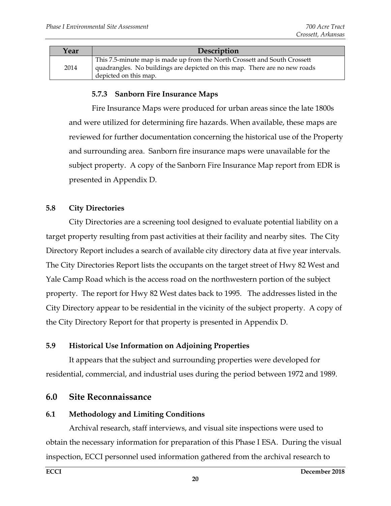| Year | Description                                                                                                                                                                      |
|------|----------------------------------------------------------------------------------------------------------------------------------------------------------------------------------|
| 2014 | This 7.5-minute map is made up from the North Crossett and South Crossett<br>quadrangles. No buildings are depicted on this map. There are no new roads<br>depicted on this map. |

#### **5.7.3 Sanborn Fire Insurance Maps**

<span id="page-21-0"></span>Fire Insurance Maps were produced for urban areas since the late 1800s and were utilized for determining fire hazards. When available, these maps are reviewed for further documentation concerning the historical use of the Property and surrounding area. Sanborn fire insurance maps were unavailable for the subject property. A copy of the Sanborn Fire Insurance Map report from EDR is presented in Appendix D.

#### <span id="page-21-1"></span>**5.8 City Directories**

City Directories are a screening tool designed to evaluate potential liability on a target property resulting from past activities at their facility and nearby sites. The City Directory Report includes a search of available city directory data at five year intervals. The City Directories Report lists the occupants on the target street of Hwy 82 West and Yale Camp Road which is the access road on the northwestern portion of the subject property. The report for Hwy 82 West dates back to 1995. The addresses listed in the City Directory appear to be residential in the vicinity of the subject property. A copy of the City Directory Report for that property is presented in Appendix D.

#### <span id="page-21-2"></span>**5.9 Historical Use Information on Adjoining Properties**

It appears that the subject and surrounding properties were developed for residential, commercial, and industrial uses during the period between 1972 and 1989.

#### <span id="page-21-3"></span>**6.0 Site Reconnaissance**

#### <span id="page-21-4"></span>**6.1 Methodology and Limiting Conditions**

Archival research, staff interviews, and visual site inspections were used to obtain the necessary information for preparation of this Phase I ESA. During the visual inspection, ECCI personnel used information gathered from the archival research to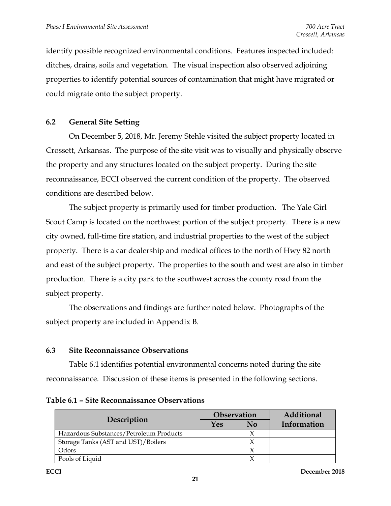identify possible recognized environmental conditions. Features inspected included: ditches, drains, soils and vegetation. The visual inspection also observed adjoining properties to identify potential sources of contamination that might have migrated or could migrate onto the subject property.

#### <span id="page-22-0"></span>**6.2 General Site Setting**

On December 5, 2018, Mr. Jeremy Stehle visited the subject property located in Crossett, Arkansas. The purpose of the site visit was to visually and physically observe the property and any structures located on the subject property. During the site reconnaissance, ECCI observed the current condition of the property. The observed conditions are described below.

The subject property is primarily used for timber production. The Yale Girl Scout Camp is located on the northwest portion of the subject property. There is a new city owned, full-time fire station, and industrial properties to the west of the subject property. There is a car dealership and medical offices to the north of Hwy 82 north and east of the subject property. The properties to the south and west are also in timber production. There is a city park to the southwest across the county road from the subject property.

The observations and findings are further noted below. Photographs of the subject property are included in Appendix B.

#### <span id="page-22-1"></span>**6.3 Site Reconnaissance Observations**

Table 6.1 identifies potential environmental concerns noted during the site reconnaissance. Discussion of these items is presented in the following sections.

|                                         | <b>Observation</b> |    | Additional  |
|-----------------------------------------|--------------------|----|-------------|
| Description                             | Yes                | No | Information |
| Hazardous Substances/Petroleum Products |                    |    |             |
| Storage Tanks (AST and UST)/Boilers     |                    |    |             |
| Odors                                   |                    |    |             |
| Pools of Liquid                         |                    |    |             |

<span id="page-22-2"></span>**Table 6.1 – Site Reconnaissance Observations**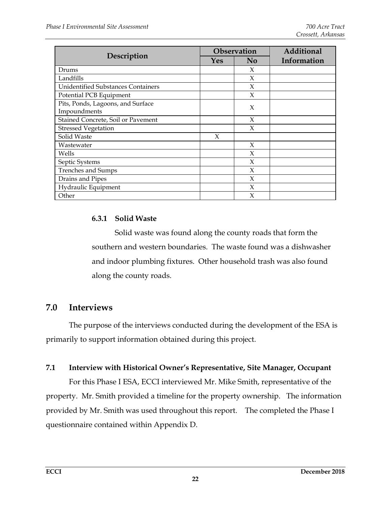|                                                   | Observation |                | Additional  |
|---------------------------------------------------|-------------|----------------|-------------|
| Description                                       | <b>Yes</b>  | N <sub>0</sub> | Information |
| Drums                                             |             | X              |             |
| Landfills                                         |             | X              |             |
| <b>Unidentified Substances Containers</b>         |             | X              |             |
| Potential PCB Equipment                           |             | X              |             |
| Pits, Ponds, Lagoons, and Surface<br>Impoundments |             | X              |             |
| Stained Concrete, Soil or Pavement                |             | X              |             |
| <b>Stressed Vegetation</b>                        |             | X              |             |
| Solid Waste                                       | X           |                |             |
| Wastewater                                        |             | X              |             |
| Wells                                             |             | X              |             |
| Septic Systems                                    |             | X              |             |
| <b>Trenches and Sumps</b>                         |             | X              |             |
| Drains and Pipes                                  |             | X              |             |
| Hydraulic Equipment                               |             | X              |             |
| Other                                             |             | X              |             |

#### <span id="page-23-0"></span>**6.3.1 Solid Waste**

Solid waste was found along the county roads that form the southern and western boundaries. The waste found was a dishwasher and indoor plumbing fixtures. Other household trash was also found along the county roads.

# **7.0 Interviews**

The purpose of the interviews conducted during the development of the ESA is primarily to support information obtained during this project.

#### <span id="page-23-1"></span>**7.1 Interview with Historical Owner's Representative, Site Manager, Occupant**

For this Phase I ESA, ECCI interviewed Mr. Mike Smith, representative of the property. Mr. Smith provided a timeline for the property ownership. The information provided by Mr. Smith was used throughout this report. The completed the Phase I questionnaire contained within Appendix D.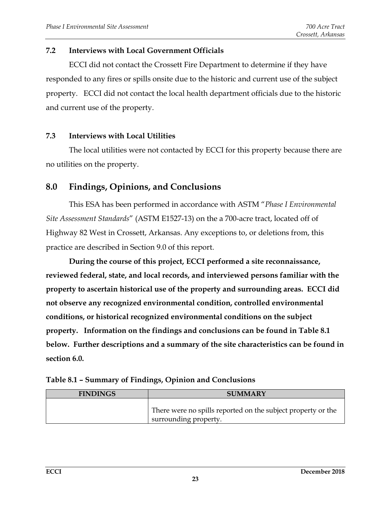#### <span id="page-24-0"></span>**7.2 Interviews with Local Government Officials**

ECCI did not contact the Crossett Fire Department to determine if they have responded to any fires or spills onsite due to the historic and current use of the subject property. ECCI did not contact the local health department officials due to the historic and current use of the property.

#### <span id="page-24-1"></span>**7.3 Interviews with Local Utilities**

The local utilities were not contacted by ECCI for this property because there are no utilities on the property.

# <span id="page-24-2"></span>**8.0 Findings, Opinions, and Conclusions**

This ESA has been performed in accordance with ASTM "*Phase I Environmental Site Assessment Standards*" (ASTM E1527-13) on the a 700-acre tract, located off of Highway 82 West in Crossett, Arkansas. Any exceptions to, or deletions from, this practice are described in Section 9.0 of this report.

**During the course of this project, ECCI performed a site reconnaissance, reviewed federal, state, and local records, and interviewed persons familiar with the property to ascertain historical use of the property and surrounding areas. ECCI did not observe any recognized environmental condition, controlled environmental conditions, or historical recognized environmental conditions on the subject property. Information on the findings and conclusions can be found in Table 8.1 below. Further descriptions and a summary of the site characteristics can be found in section 6.0.** 

<span id="page-24-3"></span>

|  |  | Table 8.1 - Summary of Findings, Opinion and Conclusions |
|--|--|----------------------------------------------------------|
|  |  |                                                          |

| <b>FINDINGS</b> | <b>SUMMARY</b>                                                                        |
|-----------------|---------------------------------------------------------------------------------------|
|                 | There were no spills reported on the subject property or the<br>surrounding property. |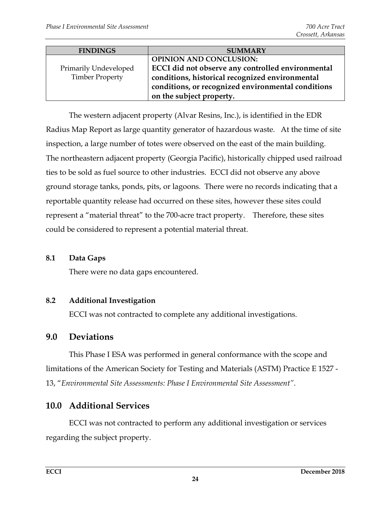| <b>FINDINGS</b>        | <b>SUMMARY</b>                                     |
|------------------------|----------------------------------------------------|
|                        | <b>OPINION AND CONCLUSION:</b>                     |
| Primarily Undeveloped  | ECCI did not observe any controlled environmental  |
| <b>Timber Property</b> | conditions, historical recognized environmental    |
|                        | conditions, or recognized environmental conditions |
|                        | on the subject property.                           |

The western adjacent property (Alvar Resins, Inc.), is identified in the EDR Radius Map Report as large quantity generator of hazardous waste. At the time of site inspection, a large number of totes were observed on the east of the main building. The northeastern adjacent property (Georgia Pacific), historically chipped used railroad ties to be sold as fuel source to other industries. ECCI did not observe any above ground storage tanks, ponds, pits, or lagoons. There were no records indicating that a reportable quantity release had occurred on these sites, however these sites could represent a "material threat" to the 700-acre tract property. Therefore, these sites could be considered to represent a potential material threat.

#### <span id="page-25-0"></span>**8.1 Data Gaps**

There were no data gaps encountered.

# <span id="page-25-1"></span>**8.2 Additional Investigation**

ECCI was not contracted to complete any additional investigations.

# <span id="page-25-2"></span>**9.0 Deviations**

This Phase I ESA was performed in general conformance with the scope and limitations of the American Society for Testing and Materials (ASTM) Practice E 1527 - 13, "*Environmental Site Assessments: Phase I Environmental Site Assessment"*.

# <span id="page-25-3"></span>**10.0 Additional Services**

ECCI was not contracted to perform any additional investigation or services regarding the subject property.